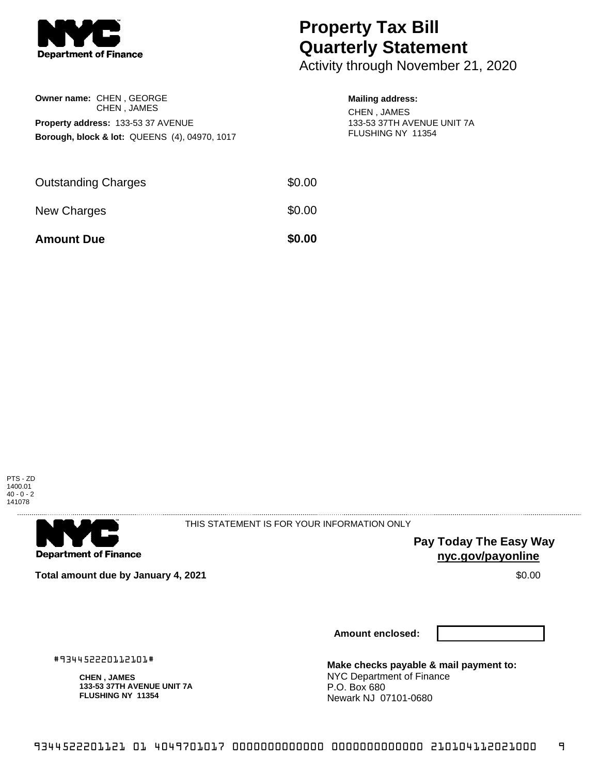

**Owner name:** CHEN , GEORGE

CHEN , JAMES **Property address:** 133-53 37 AVENUE

**Borough, block & lot:** QUEENS (4), 04970, 1017

## **Property Tax Bill Quarterly Statement**

Activity through November 21, 2020

## **Mailing address:**

CHEN , JAMES 133-53 37TH AVENUE UNIT 7A FLUSHING NY 11354

| <b>Amount Due</b>          | \$0.00 |
|----------------------------|--------|
| New Charges                | \$0.00 |
| <b>Outstanding Charges</b> | \$0.00 |





THIS STATEMENT IS FOR YOUR INFORMATION ONLY

**Pay Today The Easy Way nyc.gov/payonline**

**Total amount due by January 4, 2021** \$0.00

**Amount enclosed:**

#934452220112101#

**CHEN , JAMES 133-53 37TH AVENUE UNIT 7A FLUSHING NY 11354**

**Make checks payable & mail payment to:** NYC Department of Finance P.O. Box 680 Newark NJ 07101-0680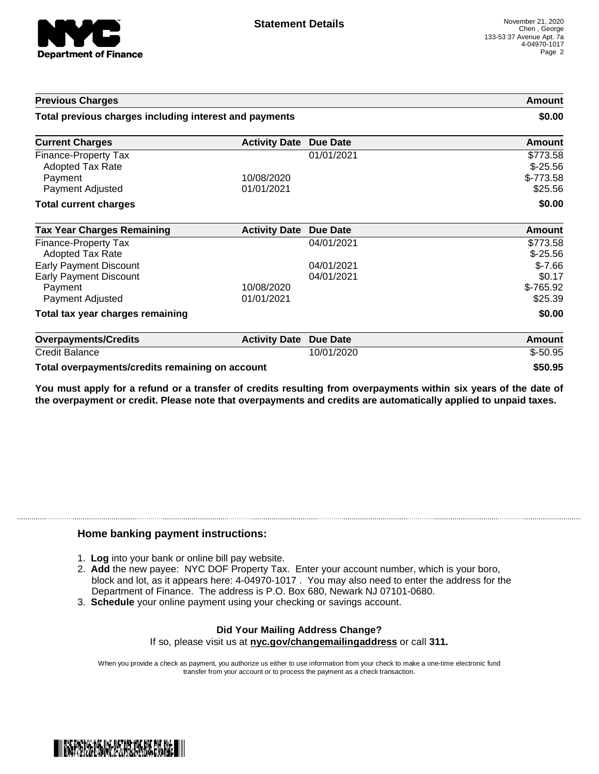

| <b>Previous Charges</b>                                                   |                      |                          | Amount                              |
|---------------------------------------------------------------------------|----------------------|--------------------------|-------------------------------------|
| Total previous charges including interest and payments                    |                      |                          | \$0.00                              |
| <b>Current Charges</b>                                                    | <b>Activity Date</b> | <b>Due Date</b>          | <b>Amount</b>                       |
| Finance-Property Tax<br><b>Adopted Tax Rate</b><br>Payment                | 10/08/2020           | 01/01/2021               | \$773.58<br>$$-25.56$<br>$$-773.58$ |
| Payment Adjusted<br><b>Total current charges</b>                          | 01/01/2021           |                          | \$25.56<br>\$0.00                   |
| <b>Tax Year Charges Remaining</b>                                         | <b>Activity Date</b> | <b>Due Date</b>          | <b>Amount</b>                       |
| Finance-Property Tax<br>Adopted Tax Rate                                  |                      | 04/01/2021               | \$773.58<br>$$-25.56$               |
| <b>Early Payment Discount</b><br><b>Early Payment Discount</b><br>Payment | 10/08/2020           | 04/01/2021<br>04/01/2021 | $$-7.66$<br>\$0.17<br>$$-765.92$    |
| Payment Adjusted<br>Total tax year charges remaining                      | 01/01/2021           |                          | \$25.39<br>\$0.00                   |
| <b>Overpayments/Credits</b>                                               | <b>Activity Date</b> | <b>Due Date</b>          | <b>Amount</b>                       |
| <b>Credit Balance</b>                                                     |                      | 10/01/2020               | $$-50.95$                           |
| Tatal access accessively less dita secondicion as a                       |                      |                          | een ne                              |

**Total overpayments/credits remaining on account \$50.95**

You must apply for a refund or a transfer of credits resulting from overpayments within six years of the date of **the overpayment or credit. Please note that overpayments and credits are automatically applied to unpaid taxes.**

## **Home banking payment instructions:**

- 1. **Log** into your bank or online bill pay website.
- 2. **Add** the new payee: NYC DOF Property Tax. Enter your account number, which is your boro, block and lot, as it appears here: 4-04970-1017 . You may also need to enter the address for the Department of Finance. The address is P.O. Box 680, Newark NJ 07101-0680.
- 3. **Schedule** your online payment using your checking or savings account.

## **Did Your Mailing Address Change?** If so, please visit us at **nyc.gov/changemailingaddress** or call **311.**

When you provide a check as payment, you authorize us either to use information from your check to make a one-time electronic fund transfer from your account or to process the payment as a check transaction.